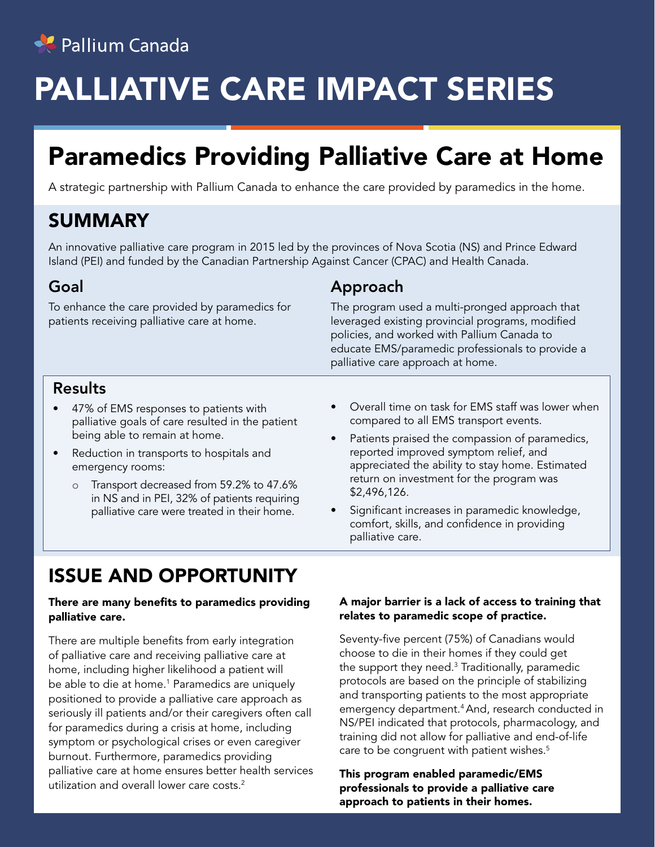

# PALLIATIVE CARE IMPACT SERIES

# Paramedics Providing Palliative Care at Home

A strategic partnership with Pallium Canada to enhance the care provided by paramedics in the home.

# SUMMARY

An innovative palliative care program in 2015 led by the provinces of Nova Scotia (NS) and Prince Edward Island (PEI) and funded by the Canadian Partnership Against Cancer (CPAC) and Health Canada.

#### Goal

To enhance the care provided by paramedics for patients receiving palliative care at home.

#### Approach

The program used a multi-pronged approach that leveraged existing provincial programs, modified policies, and worked with Pallium Canada to educate EMS/paramedic professionals to provide a palliative care approach at home.

#### Results

- 47% of EMS responses to patients with palliative goals of care resulted in the patient being able to remain at home.
- Reduction in transports to hospitals and emergency rooms:
	- o Transport decreased from 59.2% to 47.6% in NS and in PEI, 32% of patients requiring palliative care were treated in their home.
- Overall time on task for EMS staff was lower when compared to all EMS transport events.
- Patients praised the compassion of paramedics, reported improved symptom relief, and appreciated the ability to stay home. Estimated return on investment for the program was \$2,496,126.
- Significant increases in paramedic knowledge, comfort, skills, and confidence in providing palliative care.

# ISSUE AND OPPORTUNITY

#### There are many benefits to paramedics providing palliative care.

There are multiple benefits from early integration of palliative care and receiving palliative care at home, including higher likelihood a patient will be able to die at home.<sup>1</sup> Paramedics are uniquely positioned to provide a palliative care approach as seriously ill patients and/or their caregivers often call for paramedics during a crisis at home, including symptom or psychological crises or even caregiver burnout. Furthermore, paramedics providing palliative care at home ensures better health services utilization and overall lower care costs.<sup>2</sup>

#### A major barrier is a lack of access to training that relates to paramedic scope of practice.

Seventy-five percent (75%) of Canadians would choose to die in their homes if they could get the support they need. $^3$  Traditionally, paramedic protocols are based on the principle of stabilizing and transporting patients to the most appropriate emergency department.4 And, research conducted in NS/PEI indicated that protocols, pharmacology, and training did not allow for palliative and end-of-life care to be congruent with patient wishes.<sup>5</sup>

This program enabled paramedic/EMS professionals to provide a palliative care approach to patients in their homes.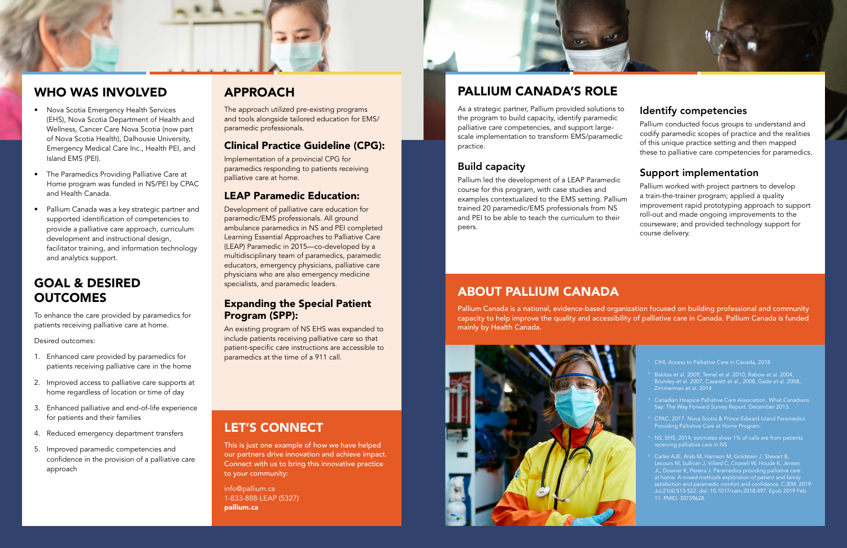## WHO WAS INVOLVED

# GOAL & DESIRED **OUTCOMES**

- Nova Scotia Emergency Health Services (EHS), Nova Scotia Department of Health and Wellness, Cancer Care Nova Scotia (now part of Nova Scotia Health), Dalhousie University, Emergency Medical Care Inc., Health PEI, and Island EMS (PEI).
- The Paramedics Providing Palliative Care at Home program was funded in NS/PEI by CPAC and Health Canada.
- Pallium Canada was a key strategic partner and supported identification of competencies to provide a palliative care approach, curriculum development and instructional design, facilitator training, and information technology and analytics support.

To enhance the care provided by paramedics for patients receiving palliative care at home.

Desired outcomes:

- 1. Enhanced care provided by paramedics for patients receiving palliative care in the home
- 2. Improved access to palliative care supports at home regardless of location or time of day
- 3. Enhanced palliative and end-of-life experience for patients and their families
- 4. Reduced emergency department transfers
- 5. Improved paramedic competencies and confidence in the provision of a palliative care approach

# APPROACH

The approach utilized pre-existing programs and tools alongside tailored education for EMS/ paramedic professionals.

### Clinical Practice Guideline (CPG):

Implementation of a provincial CPG for paramedics responding to patients receiving palliative care at home.

#### LEAP Paramedic Education:

Development of palliative care education for paramedic/EMS professionals. All ground ambulance paramedics in NS and PEI completed Learning Essential Approaches to Palliative Care (LEAP) Paramedic in 2015—co-developed by a multidisciplinary team of paramedics, paramedic educators, emergency physicians, palliative care physicians who are also emergency medicine specialists, and paramedic leaders.

#### Expanding the Special Patient Program (SPP):

An existing program of NS EHS was expanded to include patients receiving palliative care so that patient-specific care instructions are accessible to paramedics at the time of a 911 call.

# PALLIUM CANADA'S ROLE

- CIHI, Access to Palliative Care in Canada, 2018
- <sup>2</sup> Bakitas et al. 2009, Temel et al. 2010, Rabow et al. 2004, Brumley et al. 2007, Casarett et al., 2008, Gade et al. 2008, Zimmerman et al. 2014
- <sup>3</sup> Canadian Hospice Palliative Care Association. What Canadians
- Providing Palliative Care at Home Program.
- receiving palliative care in NS
- <sup>6</sup> Carter AJE, Arab M, Harrison M, Goldstein J, Stewart B, Lecours M, Sullivan J, Villard C, Crowell W, Houde K, Jensen JL, Downer K, Pereira J. Paramedics providing palliative care at home: A mixed-methods exploration of patient and family satisfaction and paramedic comfort and confidence. CJEM. 2019 Jul;21(4):513-522. doi: 10.1017/cem.2018.497. Epub 2019 Feb 11. PMID: 30739628.

As a strategic partner, Pallium provided solutions to the program to build capacity, identify paramedic palliative care competencies, and support largescale implementation to transform EMS/paramedic practice.

### Build capacity

Pallium led the development of a LEAP Paramedic course for this program, with case studies and examples contextualized to the EMS setting. Pallium trained 20 paramedic/EMS professionals from NS and PEI to be able to teach the curriculum to their peers.

## Identify competencies

Pallium conducted focus groups to understand and codify paramedic scopes of practice and the realities of this unique practice setting and then mapped these to palliative care competencies for paramedics.

#### Support implementation

Pallium worked with project partners to develop a train-the-trainer program; applied a quality improvement rapid prototyping approach to support roll-out and made ongoing improvements to the courseware; and provided technology support for course delivery.

# LET'S CONNECT

This is just one example of how we have helped our partners drive innovation and achieve impact. Connect with us to bring this innovative practice to your community:

info@pallium.ca 1-833-888-LEAP (5327) pallium.ca

## ABOUT PALLIUM CANADA

Pallium Canada is a national, evidence-based organization focused on building professional and community capacity to help improve the quality and accessibility of palliative care in Canada. Pallium Canada is funded mainly by Health Canada.